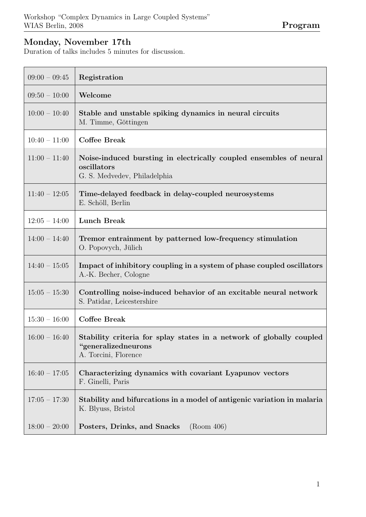## Monday, November 17th

Duration of talks includes 5 minutes for discussion.

| $09:00 - 09:45$ | Registration                                                                                                        |
|-----------------|---------------------------------------------------------------------------------------------------------------------|
| $09:50 - 10:00$ | Welcome                                                                                                             |
| $10:00 - 10:40$ | Stable and unstable spiking dynamics in neural circuits<br>M. Timme, Göttingen                                      |
| $10:40 - 11:00$ | <b>Coffee Break</b>                                                                                                 |
| $11:00 - 11:40$ | Noise-induced bursting in electrically coupled ensembles of neural<br>oscillators<br>G. S. Medvedev, Philadelphia   |
| $11:40 - 12:05$ | Time-delayed feedback in delay-coupled neurosystems<br>E. Schöll, Berlin                                            |
| $12:05 - 14:00$ | <b>Lunch Break</b>                                                                                                  |
| $14:00 - 14:40$ | Tremor entrainment by patterned low-frequency stimulation<br>O. Popovych, Jülich                                    |
| $14:40 - 15:05$ | Impact of inhibitory coupling in a system of phase coupled oscillators<br>A.-K. Becher, Cologne                     |
| $15:05 - 15:30$ | Controlling noise-induced behavior of an excitable neural network<br>S. Patidar, Leicestershire                     |
| $15:30 - 16:00$ | <b>Coffee Break</b>                                                                                                 |
| $16:00 - 16:40$ | Stability criteria for splay states in a network of globally coupled<br>"generalizedneurons<br>A. Torcini, Florence |
| $16:40 - 17:05$ | Characterizing dynamics with covariant Lyapunov vectors<br>F. Ginelli, Paris                                        |
| $17:05 - 17:30$ | Stability and bifurcations in a model of antigenic variation in malaria<br>K. Blyuss, Bristol                       |
| $18:00 - 20:00$ | (Room 406)<br>Posters, Drinks, and Snacks                                                                           |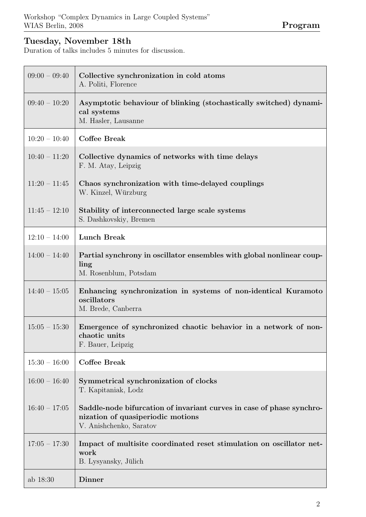## Tuesday, November 18th

Duration of talks includes 5 minutes for discussion.

| $09:00 - 09:40$ | Collective synchronization in cold atoms<br>A. Politi, Florence                                                                       |
|-----------------|---------------------------------------------------------------------------------------------------------------------------------------|
| $09:40 - 10:20$ | Asymptotic behaviour of blinking (stochastically switched) dynami-<br>cal systems<br>M. Hasler, Lausanne                              |
| $10:20 - 10:40$ | <b>Coffee Break</b>                                                                                                                   |
| $10:40 - 11:20$ | Collective dynamics of networks with time delays<br>F. M. Atay, Leipzig                                                               |
| $11:20 - 11:45$ | Chaos synchronization with time-delayed couplings<br>W. Kinzel, Würzburg                                                              |
| $11:45 - 12:10$ | Stability of interconnected large scale systems<br>S. Dashkovskiy, Bremen                                                             |
| $12:10 - 14:00$ | <b>Lunch Break</b>                                                                                                                    |
| $14:00 - 14:40$ | Partial synchrony in oscillator ensembles with global nonlinear coup-<br>ling<br>M. Rosenblum, Potsdam                                |
| $14:40 - 15:05$ | Enhancing synchronization in systems of non-identical Kuramoto<br>oscillators<br>M. Brede, Canberra                                   |
| $15:05 - 15:30$ | Emergence of synchronized chaotic behavior in a network of non-<br>chaotic units<br>F. Bauer, Leipzig                                 |
| $15:30 - 16:00$ | Coffee Break                                                                                                                          |
| $16:00 - 16:40$ | Symmetrical synchronization of clocks<br>T. Kapitaniak, Lodz                                                                          |
| $16:40 - 17:05$ | Saddle-node bifurcation of invariant curves in case of phase synchro-<br>nization of quasiperiodic motions<br>V. Anishchenko, Saratov |
| $17:05 - 17:30$ | Impact of multisite coordinated reset stimulation on oscillator net-<br>work<br>B. Lysyansky, Jülich                                  |
| ab 18:30        | Dinner                                                                                                                                |